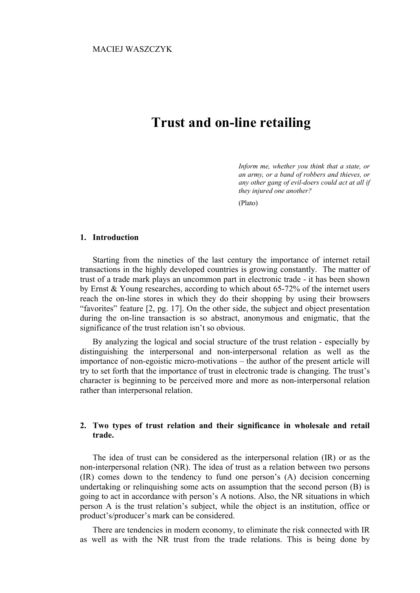# **Trust and on-line retailing**

*Inform me, whether you think that a state, or an army, or a band of robbers and thieves, or any other gang of evil-doers could act at all if they injured one another?* 

(Plato)

### **1. Introduction**

Starting from the nineties of the last century the importance of internet retail transactions in the highly developed countries is growing constantly. The matter of trust of a trade mark plays an uncommon part in electronic trade - it has been shown by Ernst & Young researches, according to which about 65-72% of the internet users reach the on-line stores in which they do their shopping by using their browsers "favorites" feature [2, pg. 17]. On the other side, the subject and object presentation during the on-line transaction is so abstract, anonymous and enigmatic, that the significance of the trust relation isn't so obvious.

By analyzing the logical and social structure of the trust relation - especially by distinguishing the interpersonal and non-interpersonal relation as well as the importance of non-egoistic micro-motivations – the author of the present article will try to set forth that the importance of trust in electronic trade is changing. The trust's character is beginning to be perceived more and more as non-interpersonal relation rather than interpersonal relation.

## **2. Two types of trust relation and their significance in wholesale and retail trade.**

The idea of trust can be considered as the interpersonal relation (IR) or as the non-interpersonal relation (NR). The idea of trust as a relation between two persons (IR) comes down to the tendency to fund one person's (A) decision concerning undertaking or relinquishing some acts on assumption that the second person (B) is going to act in accordance with person's A notions. Also, the NR situations in which person A is the trust relation's subject, while the object is an institution, office or product's/producer's mark can be considered.

There are tendencies in modern economy, to eliminate the risk connected with IR as well as with the NR trust from the trade relations. This is being done by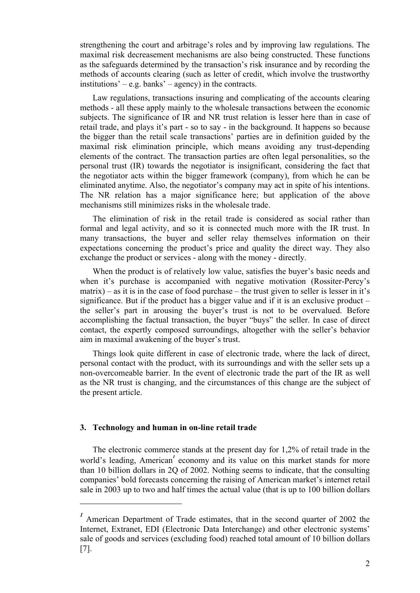strengthening the court and arbitrage's roles and by improving law regulations. The maximal risk decreasement mechanisms are also being constructed. These functions as the safeguards determined by the transaction's risk insurance and by recording the methods of accounts clearing (such as letter of credit, which involve the trustworthy institutions' – e.g. banks' – agency) in the contracts.

Law regulations, transactions insuring and complicating of the accounts clearing methods - all these apply mainly to the wholesale transactions between the economic subjects. The significance of IR and NR trust relation is lesser here than in case of retail trade, and plays it's part - so to say - in the background. It happens so because the bigger than the retail scale transactions' parties are in definition guided by the maximal risk elimination principle, which means avoiding any trust-depending elements of the contract. The transaction parties are often legal personalities, so the personal trust (IR) towards the negotiator is insignificant, considering the fact that the negotiator acts within the bigger framework (company), from which he can be eliminated anytime. Also, the negotiator's company may act in spite of his intentions. The NR relation has a major significance here; but application of the above mechanisms still minimizes risks in the wholesale trade.

The elimination of risk in the retail trade is considered as social rather than formal and legal activity, and so it is connected much more with the IR trust. In many transactions, the buyer and seller relay themselves information on their expectations concerning the product's price and quality the direct way. They also exchange the product or services - along with the money - directly.

When the product is of relatively low value, satisfies the buyer's basic needs and when it's purchase is accompanied with negative motivation (Rossiter-Percy's  $matrix$ ) – as it is in the case of food purchase – the trust given to seller is lesser in it's significance. But if the product has a bigger value and if it is an exclusive product – the seller's part in arousing the buyer's trust is not to be overvalued. Before accomplishing the factual transaction, the buyer "buys" the seller. In case of direct contact, the expertly composed surroundings, altogether with the seller's behavior aim in maximal awakening of the buyer's trust.

Things look quite different in case of electronic trade, where the lack of direct, personal contact with the product, with its surroundings and with the seller sets up a non-overcomeable barrier. In the event of electronic trade the part of the IR as well as the NR trust is changing, and the circumstances of this change are the subject of the present article.

## **3. Technology and human in on-line retail trade**

The electronic commerce stands at the present day for 1,2% of retail trade in the world's leading, American<sup>1</sup> economy and its value on this market stands for more than 10 billion dollars in 2Q of 2002. Nothing seems to indicate, that the consulting companies' bold forecasts concerning the raising of American market's internet retail sale in 2003 up to two and half times the actual value (that is up to 100 billion dollars

<sup>&</sup>lt;sup>1</sup> American Department of Trade estimates, that in the second quarter of 2002 the Internet, Extranet, EDI (Electronic Data Interchange) and other electronic systems' sale of goods and services (excluding food) reached total amount of 10 billion dollars [7].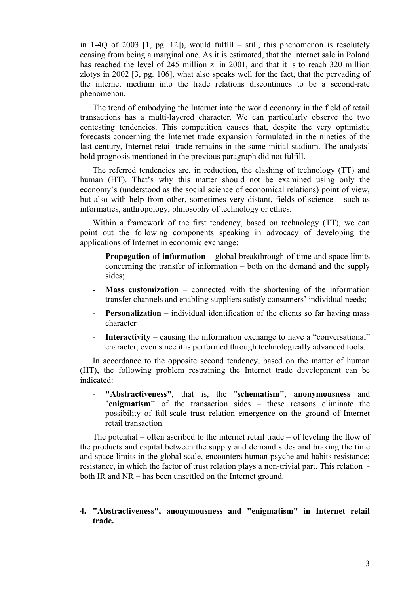in 1-4Q of 2003  $[1, \text{pg. } 12]$ , would fulfill – still, this phenomenon is resolutely ceasing from being a marginal one. As it is estimated, that the internet sale in Poland has reached the level of 245 million zl in 2001, and that it is to reach 320 million zlotys in 2002 [3, pg. 106], what also speaks well for the fact, that the pervading of the internet medium into the trade relations discontinues to be a second-rate phenomenon.

The trend of embodying the Internet into the world economy in the field of retail transactions has a multi-layered character. We can particularly observe the two contesting tendencies. This competition causes that, despite the very optimistic forecasts concerning the Internet trade expansion formulated in the nineties of the last century, Internet retail trade remains in the same initial stadium. The analysts' bold prognosis mentioned in the previous paragraph did not fulfill.

The referred tendencies are, in reduction, the clashing of technology (TT) and human (HT). That's why this matter should not be examined using only the economy's (understood as the social science of economical relations) point of view, but also with help from other, sometimes very distant, fields of science – such as informatics, anthropology, philosophy of technology or ethics.

Within a framework of the first tendency, based on technology (TT), we can point out the following components speaking in advocacy of developing the applications of Internet in economic exchange:

- **Propagation of information** global breakthrough of time and space limits concerning the transfer of information – both on the demand and the supply sides;
- **Mass customization** connected with the shortening of the information transfer channels and enabling suppliers satisfy consumers' individual needs;
- **Personalization** individual identification of the clients so far having mass character
- **Interactivity** causing the information exchange to have a "conversational" character, even since it is performed through technologically advanced tools.

In accordance to the opposite second tendency, based on the matter of human (HT), the following problem restraining the Internet trade development can be indicated:

- **"Abstractiveness"**, that is, the "**schematism"**, **anonymousness** and "**enigmatism"** of the transaction sides – these reasons eliminate the possibility of full-scale trust relation emergence on the ground of Internet retail transaction.

The potential – often ascribed to the internet retail trade – of leveling the flow of the products and capital between the supply and demand sides and braking the time and space limits in the global scale, encounters human psyche and habits resistance; resistance, in which the factor of trust relation plays a non-trivial part. This relation both IR and NR – has been unsettled on the Internet ground.

# **4. "Abstractiveness", anonymousness and "enigmatism" in Internet retail trade.**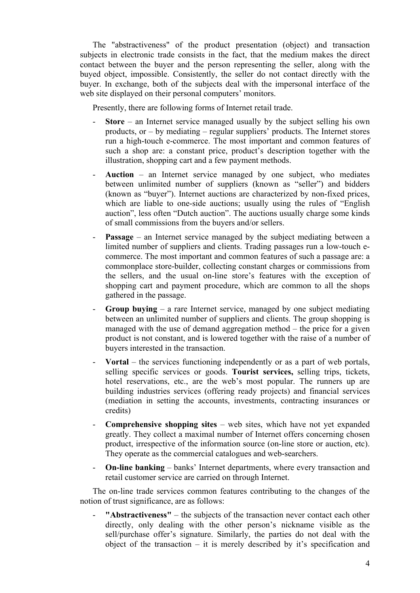The "abstractiveness" of the product presentation (object) and transaction subjects in electronic trade consists in the fact, that the medium makes the direct contact between the buyer and the person representing the seller, along with the buyed object, impossible. Consistently, the seller do not contact directly with the buyer. In exchange, both of the subjects deal with the impersonal interface of the web site displayed on their personal computers' monitors.

Presently, there are following forms of Internet retail trade.

- **Store**  an Internet service managed usually by the subject selling his own products, or  $-$  by mediating  $-$  regular suppliers' products. The Internet stores run a high-touch e-commerce. The most important and common features of such a shop are: a constant price, product's description together with the illustration, shopping cart and a few payment methods.
- **Auction**  an Internet service managed by one subject, who mediates between unlimited number of suppliers (known as "seller") and bidders (known as "buyer"). Internet auctions are characterized by non-fixed prices, which are liable to one-side auctions; usually using the rules of "English auction", less often "Dutch auction". The auctions usually charge some kinds of small commissions from the buyers and/or sellers.
- **Passage** an Internet service managed by the subject mediating between a limited number of suppliers and clients. Trading passages run a low-touch ecommerce. The most important and common features of such a passage are: a commonplace store-builder, collecting constant charges or commissions from the sellers, and the usual on-line store's features with the exception of shopping cart and payment procedure, which are common to all the shops gathered in the passage.
- **Group buying** a rare Internet service, managed by one subject mediating between an unlimited number of suppliers and clients. The group shopping is managed with the use of demand aggregation method – the price for a given product is not constant, and is lowered together with the raise of a number of buyers interested in the transaction.
- **Vortal** the services functioning independently or as a part of web portals, selling specific services or goods. **Tourist services,** selling trips, tickets, hotel reservations, etc., are the web's most popular. The runners up are building industries services (offering ready projects) and financial services (mediation in setting the accounts, investments, contracting insurances or credits)
- **Comprehensive shopping sites** web sites, which have not yet expanded greatly. They collect a maximal number of Internet offers concerning chosen product, irrespective of the information source (on-line store or auction, etc). They operate as the commercial catalogues and web-searchers.
- **On-line banking**  banks' Internet departments, where every transaction and retail customer service are carried on through Internet.

The on-line trade services common features contributing to the changes of the notion of trust significance, are as follows:

"Abstractiveness" – the subjects of the transaction never contact each other directly, only dealing with the other person's nickname visible as the sell/purchase offer's signature. Similarly, the parties do not deal with the object of the transaction – it is merely described by it's specification and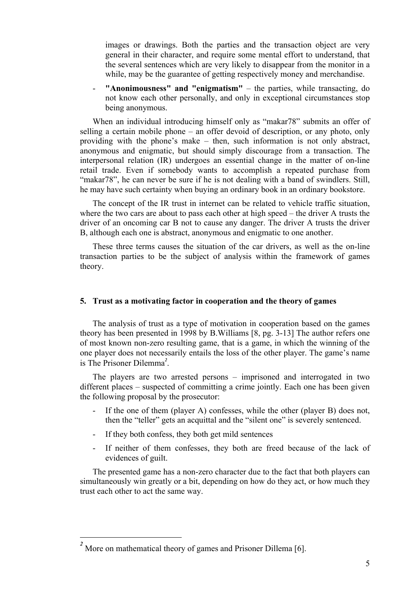images or drawings. Both the parties and the transaction object are very general in their character, and require some mental effort to understand, that the several sentences which are very likely to disappear from the monitor in a while, may be the guarantee of getting respectively money and merchandise.

- **"Anonimousness" and "enigmatism"** – the parties, while transacting, do not know each other personally, and only in exceptional circumstances stop being anonymous.

When an individual introducing himself only as "makar78" submits an offer of selling a certain mobile phone – an offer devoid of description, or any photo, only providing with the phone's make – then, such information is not only abstract, anonymous and enigmatic, but should simply discourage from a transaction. The interpersonal relation (IR) undergoes an essential change in the matter of on-line retail trade. Even if somebody wants to accomplish a repeated purchase from "makar78", he can never be sure if he is not dealing with a band of swindlers. Still, he may have such certainty when buying an ordinary book in an ordinary bookstore.

The concept of the IR trust in internet can be related to vehicle traffic situation, where the two cars are about to pass each other at high speed – the driver A trusts the driver of an oncoming car B not to cause any danger. The driver A trusts the driver B, although each one is abstract, anonymous and enigmatic to one another.

These three terms causes the situation of the car drivers, as well as the on-line transaction parties to be the subject of analysis within the framework of games theory.

## **5. Trust as a motivating factor in cooperation and the theory of games**

The analysis of trust as a type of motivation in cooperation based on the games theory has been presented in 1998 by B.Williams [8, pg. 3-13] The author refers one of most known non-zero resulting game, that is a game, in which the winning of the one player does not necessarily entails the loss of the other player. The game's name is The Prisoner Dilemma*<sup>2</sup>* .

The players are two arrested persons – imprisoned and interrogated in two different places – suspected of committing a crime jointly. Each one has been given the following proposal by the prosecutor:

- If the one of them (player A) confesses, while the other (player B) does not, then the "teller" gets an acquittal and the "silent one" is severely sentenced.
- If they both confess, they both get mild sentences
- If neither of them confesses, they both are freed because of the lack of evidences of guilt.

The presented game has a non-zero character due to the fact that both players can simultaneously win greatly or a bit, depending on how do they act, or how much they trust each other to act the same way.

*<sup>2</sup>* More on mathematical theory of games and Prisoner Dillema [6].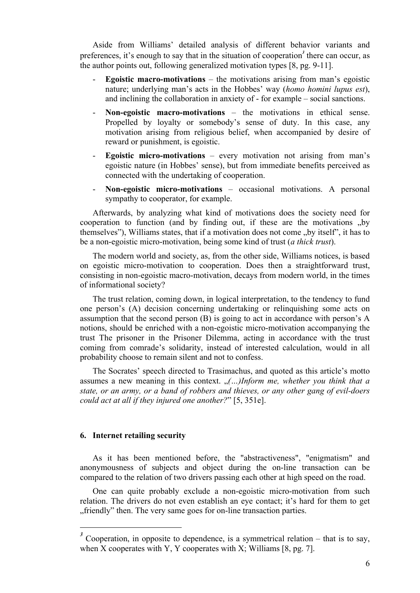Aside from Williams' detailed analysis of different behavior variants and preferences, it's enough to say that in the situation of cooperation<sup>3</sup> there can occur, as the author points out, following generalized motivation types [8, pg. 9-11].

- **Egoistic macro-motivations** the motivations arising from man's egoistic nature; underlying man's acts in the Hobbes' way (*homo homini lupus est*), and inclining the collaboration in anxiety of - for example – social sanctions.
- **Non-egoistic macro-motivations** the motivations in ethical sense. Propelled by loyalty or somebody's sense of duty. In this case, any motivation arising from religious belief, when accompanied by desire of reward or punishment, is egoistic.
- **Egoistic micro-motivations** every motivation not arising from man's egoistic nature (in Hobbes' sense), but from immediate benefits perceived as connected with the undertaking of cooperation.
- **Non-egoistic micro-motivations** occasional motivations. A personal sympathy to cooperator, for example.

Afterwards, by analyzing what kind of motivations does the society need for cooperation to function (and by finding out, if these are the motivations  $,$ by themselves"), Williams states, that if a motivation does not come "by itself", it has to be a non-egoistic micro-motivation, being some kind of trust (*a thick trust*).

The modern world and society, as, from the other side, Williams notices, is based on egoistic micro-motivation to cooperation. Does then a straightforward trust, consisting in non-egoistic macro-motivation, decays from modern world, in the times of informational society?

The trust relation, coming down, in logical interpretation, to the tendency to fund one person's (A) decision concerning undertaking or relinquishing some acts on assumption that the second person (B) is going to act in accordance with person's A notions, should be enriched with a non-egoistic micro-motivation accompanying the trust The prisoner in the Prisoner Dilemma, acting in accordance with the trust coming from comrade's solidarity, instead of interested calculation, would in all probability choose to remain silent and not to confess.

The Socrates' speech directed to Trasimachus, and quoted as this article's motto assumes a new meaning in this context. "(...)Inform me, whether you think that a *state, or an army, or a band of robbers and thieves, or any other gang of evil-doers could act at all if they injured one another?*" [5, 351e].

## **6. Internet retailing security**

As it has been mentioned before, the "abstractiveness", "enigmatism" and anonymousness of subjects and object during the on-line transaction can be compared to the relation of two drivers passing each other at high speed on the road.

One can quite probably exclude a non-egoistic micro-motivation from such relation. The drivers do not even establish an eye contact; it's hard for them to get "friendly" then. The very same goes for on-line transaction parties.

<sup>&</sup>lt;sup>3</sup> Cooperation, in opposite to dependence, is a symmetrical relation – that is to say, when X cooperates with Y, Y cooperates with X; Williams  $[8, pg. 7]$ .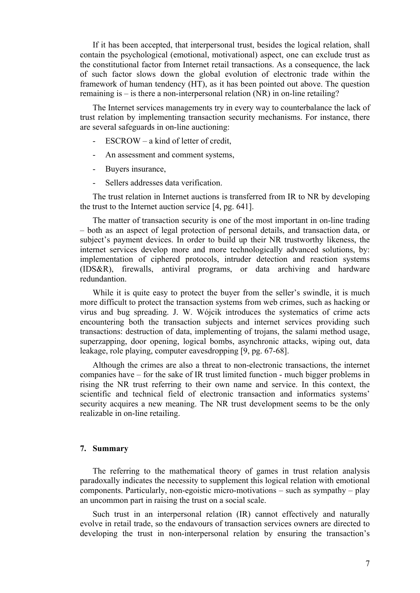If it has been accepted, that interpersonal trust, besides the logical relation, shall contain the psychological (emotional, motivational) aspect, one can exclude trust as the constitutional factor from Internet retail transactions. As a consequence, the lack of such factor slows down the global evolution of electronic trade within the framework of human tendency (HT), as it has been pointed out above. The question remaining is – is there a non-interpersonal relation (NR) in on-line retailing?

The Internet services managements try in every way to counterbalance the lack of trust relation by implementing transaction security mechanisms. For instance, there are several safeguards in on-line auctioning:

- $ESCROW a kind of letter of credit,$
- An assessment and comment systems,
- Buyers insurance,
- Sellers addresses data verification.

The trust relation in Internet auctions is transferred from IR to NR by developing the trust to the Internet auction service [4, pg. 641].

The matter of transaction security is one of the most important in on-line trading – both as an aspect of legal protection of personal details, and transaction data, or subject's payment devices. In order to build up their NR trustworthy likeness, the internet services develop more and more technologically advanced solutions, by: implementation of ciphered protocols, intruder detection and reaction systems (IDS&R), firewalls, antiviral programs, or data archiving and hardware redundantion.

While it is quite easy to protect the buyer from the seller's swindle, it is much more difficult to protect the transaction systems from web crimes, such as hacking or virus and bug spreading. J. W. Wójcik introduces the systematics of crime acts encountering both the transaction subjects and internet services providing such transactions: destruction of data, implementing of trojans, the salami method usage, superzapping, door opening, logical bombs, asynchronic attacks, wiping out, data leakage, role playing, computer eavesdropping [9, pg. 67-68].

Although the crimes are also a threat to non-electronic transactions, the internet companies have – for the sake of IR trust limited function - much bigger problems in rising the NR trust referring to their own name and service. In this context, the scientific and technical field of electronic transaction and informatics systems' security acquires a new meaning. The NR trust development seems to be the only realizable in on-line retailing.

#### **7. Summary**

The referring to the mathematical theory of games in trust relation analysis paradoxally indicates the necessity to supplement this logical relation with emotional components. Particularly, non-egoistic micro-motivations – such as sympathy – play an uncommon part in raising the trust on a social scale.

Such trust in an interpersonal relation (IR) cannot effectively and naturally evolve in retail trade, so the endavours of transaction services owners are directed to developing the trust in non-interpersonal relation by ensuring the transaction's